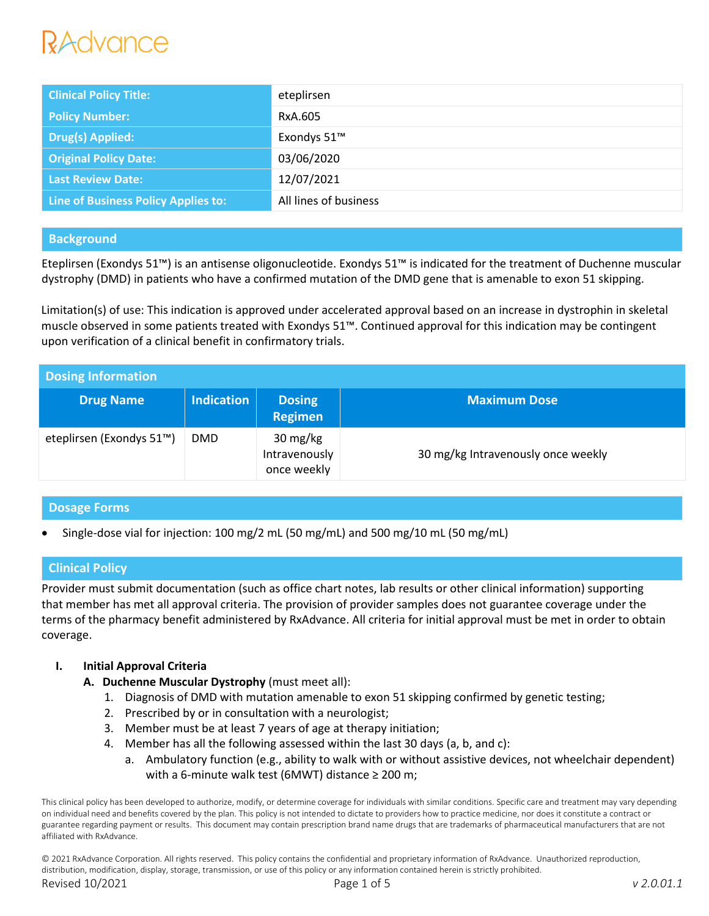| <b>Clinical Policy Title:</b>       | eteplirsen            |
|-------------------------------------|-----------------------|
| <b>Policy Number:</b>               | RxA.605               |
| Drug(s) Applied:                    | Exondys 51™           |
| <b>Original Policy Date:</b>        | 03/06/2020            |
| <b>Last Review Date:</b>            | 12/07/2021            |
| Line of Business Policy Applies to: | All lines of business |

# **Background**

Eteplirsen (Exondys 51™) is an antisense oligonucleotide. Exondys 51™ is indicated for the treatment of Duchenne muscular dystrophy (DMD) in patients who have a confirmed mutation of the DMD gene that is amenable to exon 51 skipping.

Limitation(s) of use: This indication is approved under accelerated approval based on an increase in dystrophin in skeletal muscle observed in some patients treated with Exondys 51™. Continued approval for this indication may be contingent upon verification of a clinical benefit in confirmatory trials.

| <b>Dosing Information</b> |                   |                                          |                                    |
|---------------------------|-------------------|------------------------------------------|------------------------------------|
| <b>Drug Name</b>          | <b>Indication</b> | <b>Dosing</b><br>Regimen                 | <b>Maximum Dose</b>                |
| eteplirsen (Exondys 51™)  | <b>DMD</b>        | 30 mg/kg<br>Intravenously<br>once weekly | 30 mg/kg Intravenously once weekly |

# **Dosage Forms**

Single-dose vial for injection: 100 mg/2 mL (50 mg/mL) and 500 mg/10 mL (50 mg/mL)

# **Clinical Policy**

Provider must submit documentation (such as office chart notes, lab results or other clinical information) supporting that member has met all approval criteria. The provision of provider samples does not guarantee coverage under the terms of the pharmacy benefit administered by RxAdvance. All criteria for initial approval must be met in order to obtain coverage.

#### **I. Initial Approval Criteria**

- **A. Duchenne Muscular Dystrophy** (must meet all):
	- 1. Diagnosis of DMD with mutation amenable to exon 51 skipping confirmed by genetic testing;
	- 2. Prescribed by or in consultation with a neurologist;
	- 3. Member must be at least 7 years of age at therapy initiation;
	- 4. Member has all the following assessed within the last 30 days (a, b, and c):
		- a. Ambulatory function (e.g., ability to walk with or without assistive devices, not wheelchair dependent) with a 6-minute walk test (6MWT) distance  $\geq 200$  m;

This clinical policy has been developed to authorize, modify, or determine coverage for individuals with similar conditions. Specific care and treatment may vary depending on individual need and benefits covered by the plan. This policy is not intended to dictate to providers how to practice medicine, nor does it constitute a contract or guarantee regarding payment or results. This document may contain prescription brand name drugs that are trademarks of pharmaceutical manufacturers that are not affiliated with RxAdvance.

© 2021 RxAdvance Corporation. All rights reserved. This policy contains the confidential and proprietary information of RxAdvance. Unauthorized reproduction, distribution, modification, display, storage, transmission, or use of this policy or any information contained herein is strictly prohibited. Revised 10/2021 Page 1 of 5 *v 2.0.01.1*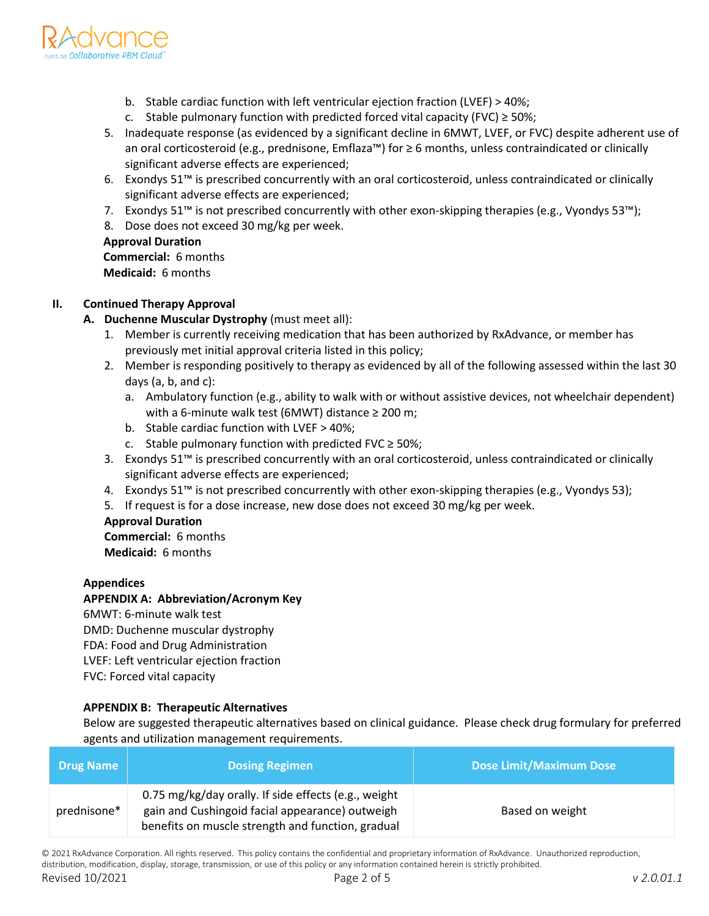

- b. Stable cardiac function with left ventricular ejection fraction (LVEF) > 40%;
- c. Stable pulmonary function with predicted forced vital capacity (FVC)  $\geq$  50%;
- 5. Inadequate response (as evidenced by a significant decline in 6MWT, LVEF, or FVC) despite adherent use of an oral corticosteroid (e.g., prednisone, Emflaza™) for ≥ 6 months, unless contraindicated or clinically significant adverse effects are experienced;
- 6. Exondys 51™ is prescribed concurrently with an oral corticosteroid, unless contraindicated or clinically significant adverse effects are experienced;
- 7. Exondys 51™ is not prescribed concurrently with other exon-skipping therapies (e.g., Vyondys 53™);
- 8. Dose does not exceed 30 mg/kg per week.

# **Approval Duration Commercial:** 6 months

**Medicaid:** 6 months

# **II. Continued Therapy Approval**

- **A. Duchenne Muscular Dystrophy** (must meet all):
	- 1. Member is currently receiving medication that has been authorized by RxAdvance, or member has previously met initial approval criteria listed in this policy;
	- 2. Member is responding positively to therapy as evidenced by all of the following assessed within the last 30 days (a, b, and c):
		- a. Ambulatory function (e.g., ability to walk with or without assistive devices, not wheelchair dependent) with a 6-minute walk test (6MWT) distance ≥ 200 m;
		- b. Stable cardiac function with LVEF > 40%;
		- c. Stable pulmonary function with predicted FVC  $\geq$  50%;
	- 3. Exondys 51™ is prescribed concurrently with an oral corticosteroid, unless contraindicated or clinically significant adverse effects are experienced;
	- 4. Exondys 51™ is not prescribed concurrently with other exon-skipping therapies (e.g., Vyondys 53);
	- 5. If request is for a dose increase, new dose does not exceed 30 mg/kg per week.

#### **Approval Duration**

**Commercial:** 6 months

**Medicaid:** 6 months

#### **Appendices**

#### **APPENDIX A: Abbreviation/Acronym Key**

6MWT: 6-minute walk test DMD: Duchenne muscular dystrophy FDA: Food and Drug Administration LVEF: Left ventricular ejection fraction FVC: Forced vital capacity

#### **APPENDIX B: Therapeutic Alternatives**

Below are suggested therapeutic alternatives based on clinical guidance. Please check drug formulary for preferred agents and utilization management requirements.

| <b>Drug Name</b> | <b>Dosing Regimen</b>                                                                                                                                        | <b>Dose Limit/Maximum Dose</b> |
|------------------|--------------------------------------------------------------------------------------------------------------------------------------------------------------|--------------------------------|
| prednisone*      | 0.75 mg/kg/day orally. If side effects (e.g., weight<br>gain and Cushingoid facial appearance) outweigh<br>benefits on muscle strength and function, gradual | Based on weight                |

© 2021 RxAdvance Corporation. All rights reserved. This policy contains the confidential and proprietary information of RxAdvance. Unauthorized reproduction, distribution, modification, display, storage, transmission, or use of this policy or any information contained herein is strictly prohibited. Revised 10/2021 Page 2 of 5 *v 2.0.01.1*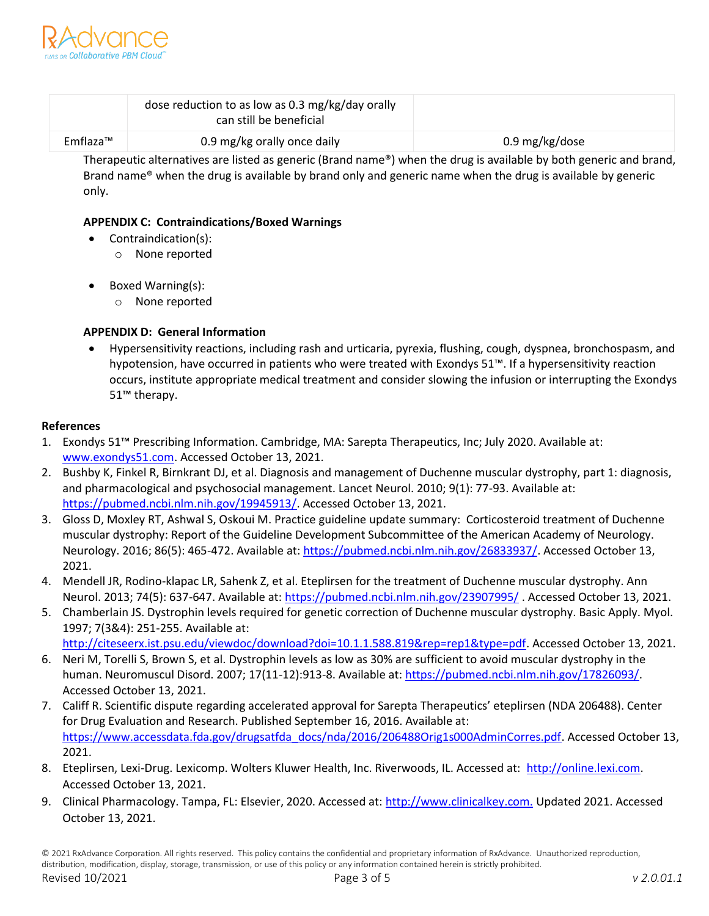

|          | dose reduction to as low as 0.3 mg/kg/day orally<br>can still be beneficial |                |
|----------|-----------------------------------------------------------------------------|----------------|
| Emflaza™ | 0.9 mg/kg orally once daily                                                 | 0.9 mg/kg/dose |

Therapeutic alternatives are listed as generic (Brand name®) when the drug is available by both generic and brand, Brand name® when the drug is available by brand only and generic name when the drug is available by generic only.

### **APPENDIX C: Contraindications/Boxed Warnings**

- Contraindication(s):
	- o None reported
- Boxed Warning(s):
	- o None reported

# **APPENDIX D: General Information**

 Hypersensitivity reactions, including rash and urticaria, pyrexia, flushing, cough, dyspnea, bronchospasm, and hypotension, have occurred in patients who were treated with Exondys 51™. If a hypersensitivity reaction occurs, institute appropriate medical treatment and consider slowing the infusion or interrupting the Exondys 51™ therapy.

#### **References**

- 1. Exondys 51™ Prescribing Information. Cambridge, MA: Sarepta Therapeutics, Inc; July 2020. Available at: [www.exondys51.com.](http://www.exondys51.com/) Accessed October 13, 2021.
- 2. Bushby K, Finkel R, Birnkrant DJ, et al. Diagnosis and management of Duchenne muscular dystrophy, part 1: diagnosis, and pharmacological and psychosocial management. Lancet Neurol. 2010; 9(1): 77-93. Available at: [https://pubmed.ncbi.nlm.nih.gov/19945913/.](https://pubmed.ncbi.nlm.nih.gov/19945913/) Accessed October 13, 2021.
- 3. Gloss D, Moxley RT, Ashwal S, Oskoui M. Practice guideline update summary: Corticosteroid treatment of Duchenne muscular dystrophy: Report of the Guideline Development Subcommittee of the American Academy of Neurology. Neurology. 2016; 86(5): 465-472. Available at: [https://pubmed.ncbi.nlm.nih.gov/26833937/.](https://pubmed.ncbi.nlm.nih.gov/26833937/) Accessed October 13, 2021.
- 4. Mendell JR, Rodino-klapac LR, Sahenk Z, et al. Eteplirsen for the treatment of Duchenne muscular dystrophy. Ann Neurol. 2013; 74(5): 637-647. Available at: <https://pubmed.ncbi.nlm.nih.gov/23907995/>. Accessed October 13, 2021.
- 5. Chamberlain JS. Dystrophin levels required for genetic correction of Duchenne muscular dystrophy. Basic Apply. Myol. 1997; 7(3&4): 251-255. Available at:
	- [http://citeseerx.ist.psu.edu/viewdoc/download?doi=10.1.1.588.819&rep=rep1&type=pdf.](http://citeseerx.ist.psu.edu/viewdoc/download?doi=10.1.1.588.819&rep=rep1&type=pdf) Accessed October 13, 2021.
- 6. Neri M, Torelli S, Brown S, et al. Dystrophin levels as low as 30% are sufficient to avoid muscular dystrophy in the human. Neuromuscul Disord. 2007; 17(11-12):913-8. Available at: [https://pubmed.ncbi.nlm.nih.gov/17826093/.](https://pubmed.ncbi.nlm.nih.gov/17826093/) Accessed October 13, 2021.
- 7. Califf R. Scientific dispute regarding accelerated approval for Sarepta Therapeutics' eteplirsen (NDA 206488). Center for Drug Evaluation and Research. Published September 16, 2016. Available at: [https://www.accessdata.fda.gov/drugsatfda\\_docs/nda/2016/206488Orig1s000AdminCorres.pdf.](https://www.accessdata.fda.gov/drugsatfda_docs/nda/2016/206488Orig1s000AdminCorres.pdf) Accessed October 13, 2021.
- 8. Eteplirsen, Lexi-Drug. Lexicomp. Wolters Kluwer Health, Inc. Riverwoods, IL. Accessed at: http://online.lexi.com. Accessed October 13, 2021.
- 9. Clinical Pharmacology. Tampa, FL: Elsevier, 2020. Accessed at: http://www.clinicalkey.com. Updated 2021. Accessed October 13, 2021.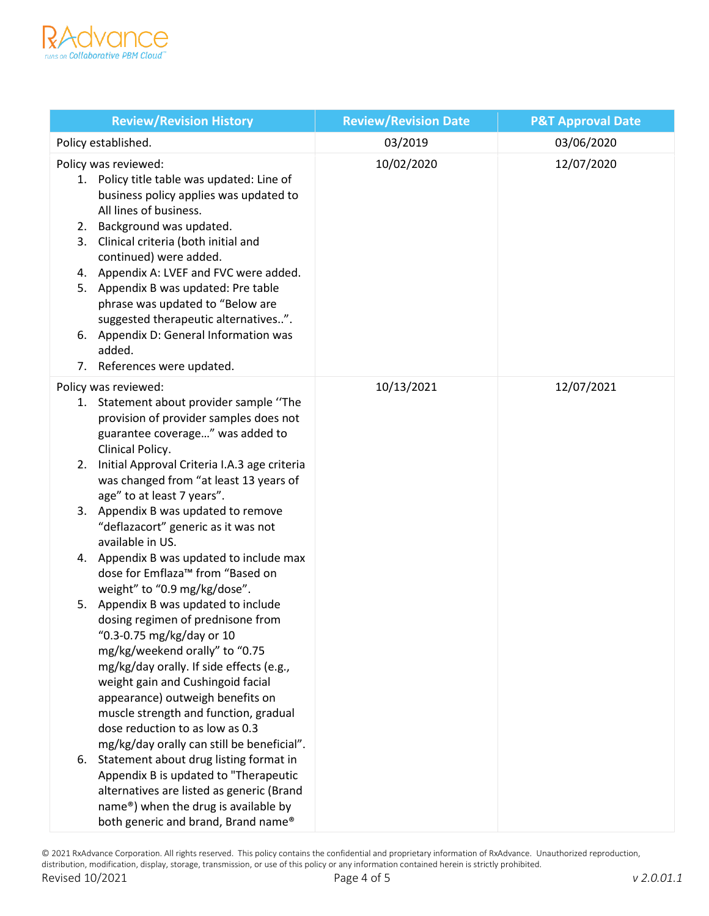

| <b>Review/Revision History</b>                                                                                                                                                                                                                                                                                                                                                                                                                                                                                                                                                                                                                                                                                                                                                                                                                                                                                                                                                                                                                                                                         | <b>Review/Revision Date</b> | <b>P&amp;T Approval Date</b> |
|--------------------------------------------------------------------------------------------------------------------------------------------------------------------------------------------------------------------------------------------------------------------------------------------------------------------------------------------------------------------------------------------------------------------------------------------------------------------------------------------------------------------------------------------------------------------------------------------------------------------------------------------------------------------------------------------------------------------------------------------------------------------------------------------------------------------------------------------------------------------------------------------------------------------------------------------------------------------------------------------------------------------------------------------------------------------------------------------------------|-----------------------------|------------------------------|
| Policy established.                                                                                                                                                                                                                                                                                                                                                                                                                                                                                                                                                                                                                                                                                                                                                                                                                                                                                                                                                                                                                                                                                    | 03/2019                     | 03/06/2020                   |
| Policy was reviewed:<br>1. Policy title table was updated: Line of<br>business policy applies was updated to<br>All lines of business.<br>Background was updated.<br>2.<br>Clinical criteria (both initial and<br>3.<br>continued) were added.<br>4. Appendix A: LVEF and FVC were added.<br>5. Appendix B was updated: Pre table<br>phrase was updated to "Below are<br>suggested therapeutic alternatives".<br>6. Appendix D: General Information was<br>added.<br>7. References were updated.                                                                                                                                                                                                                                                                                                                                                                                                                                                                                                                                                                                                       | 10/02/2020                  | 12/07/2020                   |
| Policy was reviewed:<br>1. Statement about provider sample "The<br>provision of provider samples does not<br>guarantee coverage" was added to<br>Clinical Policy.<br>Initial Approval Criteria I.A.3 age criteria<br>2.<br>was changed from "at least 13 years of<br>age" to at least 7 years".<br>3. Appendix B was updated to remove<br>"deflazacort" generic as it was not<br>available in US.<br>4. Appendix B was updated to include max<br>dose for Emflaza <sup>™</sup> from "Based on<br>weight" to "0.9 mg/kg/dose".<br>5. Appendix B was updated to include<br>dosing regimen of prednisone from<br>"0.3-0.75 mg/kg/day or 10<br>mg/kg/weekend orally" to "0.75<br>mg/kg/day orally. If side effects (e.g.,<br>weight gain and Cushingoid facial<br>appearance) outweigh benefits on<br>muscle strength and function, gradual<br>dose reduction to as low as 0.3<br>mg/kg/day orally can still be beneficial".<br>Statement about drug listing format in<br>6.<br>Appendix B is updated to "Therapeutic<br>alternatives are listed as generic (Brand<br>name®) when the drug is available by | 10/13/2021                  | 12/07/2021                   |

© 2021 RxAdvance Corporation. All rights reserved. This policy contains the confidential and proprietary information of RxAdvance. Unauthorized reproduction, distribution, modification, display, storage, transmission, or use of this policy or any information contained herein is strictly prohibited. Revised 10/2021 Page 4 of 5 *v 2.0.01.1*